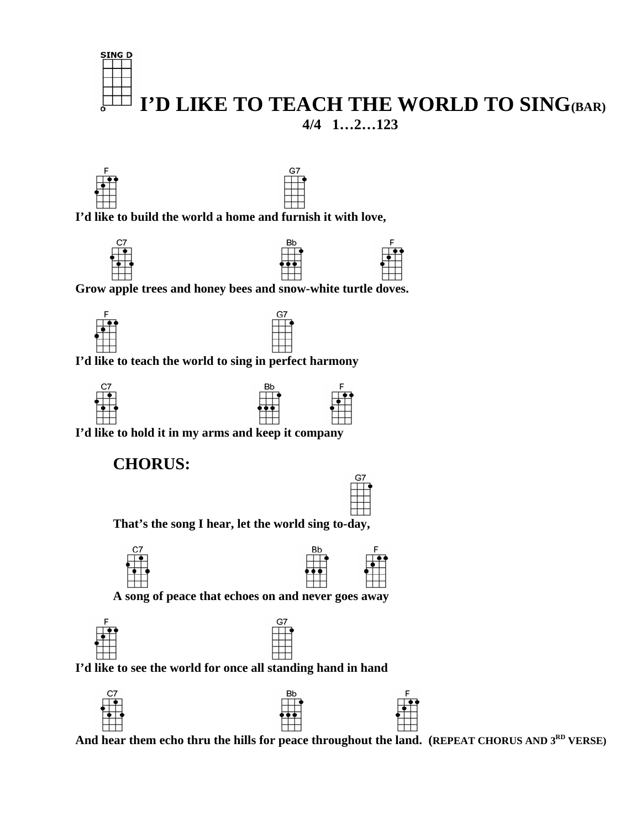





 **I'd like to build the world a home and furnish it with love,** 







 **Grow apple trees and honey bees and snow-white turtle doves.** 





 **I'd like to teach the world to sing in perfect harmony** 



 **I'd like to hold it in my arms and keep it company** 

## **CHORUS:**



 **That's the song I hear, let the world sing to-day,** 





 **A song of peace that echoes on and never goes away** 





 **I'd like to see the world for once all standing hand in hand** 



And hear them echo thru the hills for peace throughout the land. (REPEAT CHORUS AND 3<sup>RD</sup> VERSE)